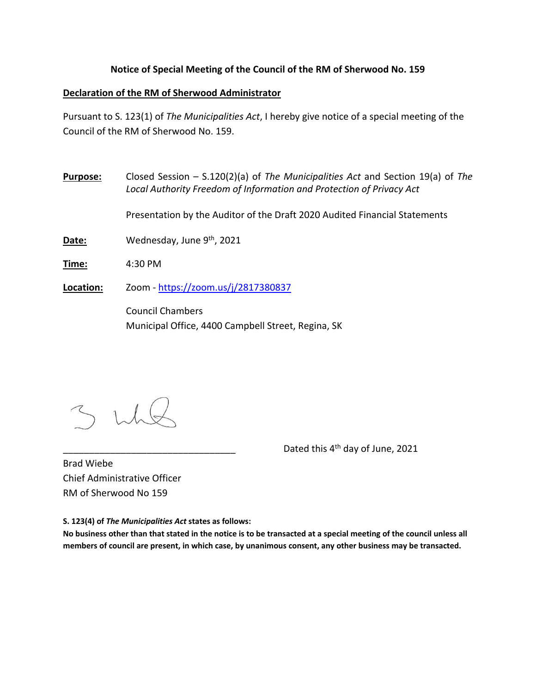## **Notice of Special Meeting of the Council of the RM of Sherwood No. 159**

## **Declaration of the RM of Sherwood Administrator**

Pursuant to S. 123(1) of *The Municipalities Act*, I hereby give notice of a special meeting of the Council of the RM of Sherwood No. 159.

**Purpose:** Closed Session – S.120(2)(a) of *The Municipalities Act* and Section 19(a) of *The Local Authority Freedom of Information and Protection of Privacy Act*

Presentation by the Auditor of the Draft 2020 Audited Financial Statements

Date: Wednesday, June 9<sup>th</sup>, 2021

**Time:** 4:30 PM

**Location:** Zoom ‐ https://zoom.us/j/2817380837

Council Chambers Municipal Office, 4400 Campbell Street, Regina, SK

Dated this 4<sup>th</sup> day of June, 2021

Brad Wiebe Chief Administrative Officer RM of Sherwood No 159

**S. 123(4) of** *The Municipalities Act* **states as follows:** 

**No business other than that stated in the notice is to be transacted at a special meeting of the council unless all members of council are present, in which case, by unanimous consent, any other business may be transacted.**